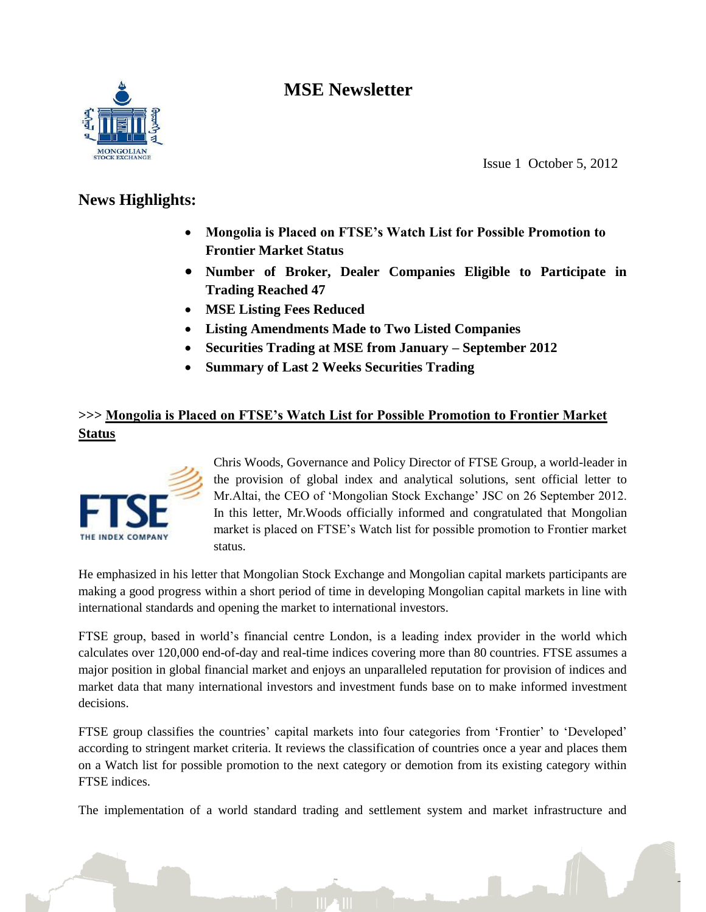# **MSE Newsletter**



Issue 1 October 5, 2012

## **News Highlights:**

- **Mongolia is Placed on FTSE's Watch List for Possible Promotion to Frontier Market Status**
- **Number of Broker, Dealer Companies Eligible to Participate in Trading Reached 47**
- **MSE Listing Fees Reduced**
- **Listing Amendments Made to Two Listed Companies**
- **Securities Trading at MSE from January – September 2012**
- **Summary of Last 2 Weeks Securities Trading**

## **>>> Mongolia is Placed on FTSE's Watch List for Possible Promotion to Frontier Market Status**



Chris Woods, Governance and Policy Director of FTSE Group, a world-leader in the provision of global index and analytical solutions, sent official letter to Mr.Altai, the CEO of "Mongolian Stock Exchange" JSC on 26 September 2012. In this letter, Mr.Woods officially informed and congratulated that Mongolian market is placed on FTSE"s Watch list for possible promotion to Frontier market status.

He emphasized in his letter that Mongolian Stock Exchange and Mongolian capital markets participants are making a good progress within a short period of time in developing Mongolian capital markets in line with international standards and opening the market to international investors.

FTSE group, based in world"s financial centre London, is a leading index provider in the world which calculates over 120,000 end-of-day and real-time indices covering more than 80 countries. FTSE assumes a major position in global financial market and enjoys an unparalleled reputation for provision of indices and market data that many international investors and investment funds base on to make informed investment decisions.

FTSE group classifies the countries' capital markets into four categories from 'Frontier' to 'Developed' according to stringent market criteria. It reviews the classification of countries once a year and places them on a Watch list for possible promotion to the next category or demotion from its existing category within FTSE indices.

The implementation of a world standard trading and settlement system and market infrastructure and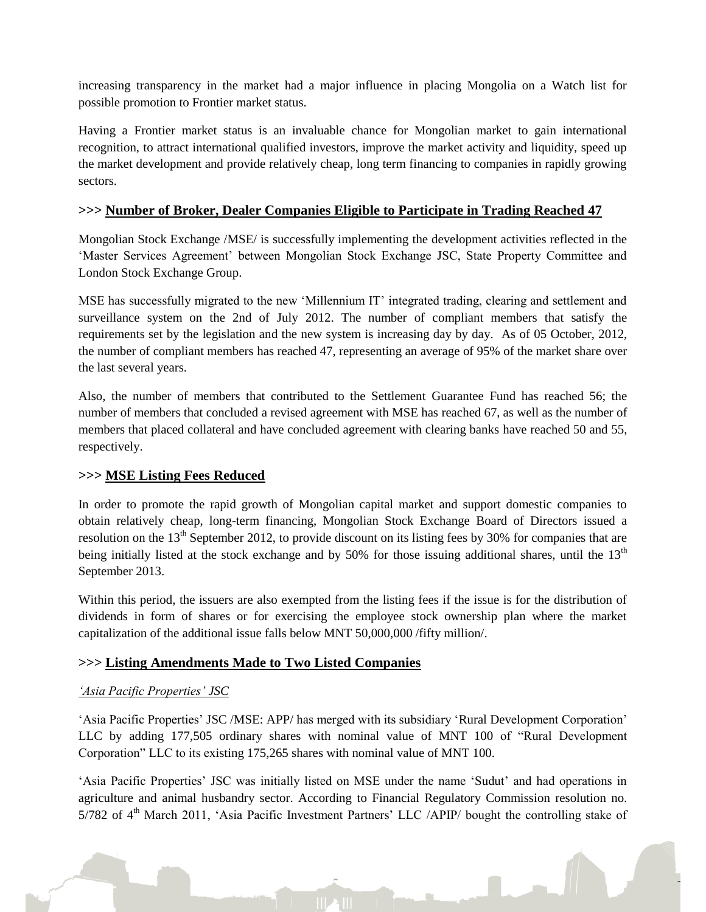increasing transparency in the market had a major influence in placing Mongolia on a Watch list for possible promotion to Frontier market status.

Having a Frontier market status is an invaluable chance for Mongolian market to gain international recognition, to attract international qualified investors, improve the market activity and liquidity, speed up the market development and provide relatively cheap, long term financing to companies in rapidly growing sectors.

### **>>> Number of Broker, Dealer Companies Eligible to Participate in Trading Reached 47**

Mongolian Stock Exchange /MSE/ is successfully implementing the development activities reflected in the 'Master Services Agreement' between Mongolian Stock Exchange JSC, State Property Committee and London Stock Exchange Group.

MSE has successfully migrated to the new "Millennium IT" integrated trading, clearing and settlement and surveillance system on the 2nd of July 2012. The number of compliant members that satisfy the requirements set by the legislation and the new system is increasing day by day. As of 05 October, 2012, the number of compliant members has reached 47, representing an average of 95% of the market share over the last several years.

Also, the number of members that contributed to the Settlement Guarantee Fund has reached 56; the number of members that concluded a revised agreement with MSE has reached 67, as well as the number of members that placed collateral and have concluded agreement with clearing banks have reached 50 and 55, respectively.

## **>>> MSE Listing Fees Reduced**

In order to promote the rapid growth of Mongolian capital market and support domestic companies to obtain relatively cheap, long-term financing, Mongolian Stock Exchange Board of Directors issued a resolution on the 13<sup>th</sup> September 2012, to provide discount on its listing fees by 30% for companies that are being initially listed at the stock exchange and by 50% for those issuing additional shares, until the  $13<sup>th</sup>$ September 2013.

Within this period, the issuers are also exempted from the listing fees if the issue is for the distribution of dividends in form of shares or for exercising the employee stock ownership plan where the market capitalization of the additional issue falls below MNT 50,000,000 /fifty million/.

## **>>> Listing Amendments Made to Two Listed Companies**

#### *'Asia Pacific Properties' JSC*

"Asia Pacific Properties" JSC /MSE: APP/ has merged with its subsidiary "Rural Development Corporation" LLC by adding 177,505 ordinary shares with nominal value of MNT 100 of "Rural Development Corporation" LLC to its existing 175,265 shares with nominal value of MNT 100.

"Asia Pacific Properties" JSC was initially listed on MSE under the name "Sudut" and had operations in agriculture and animal husbandry sector. According to Financial Regulatory Commission resolution no.  $5/782$  of  $4<sup>th</sup>$  March 2011, 'Asia Pacific Investment Partners' LLC /APIP/ bought the controlling stake of